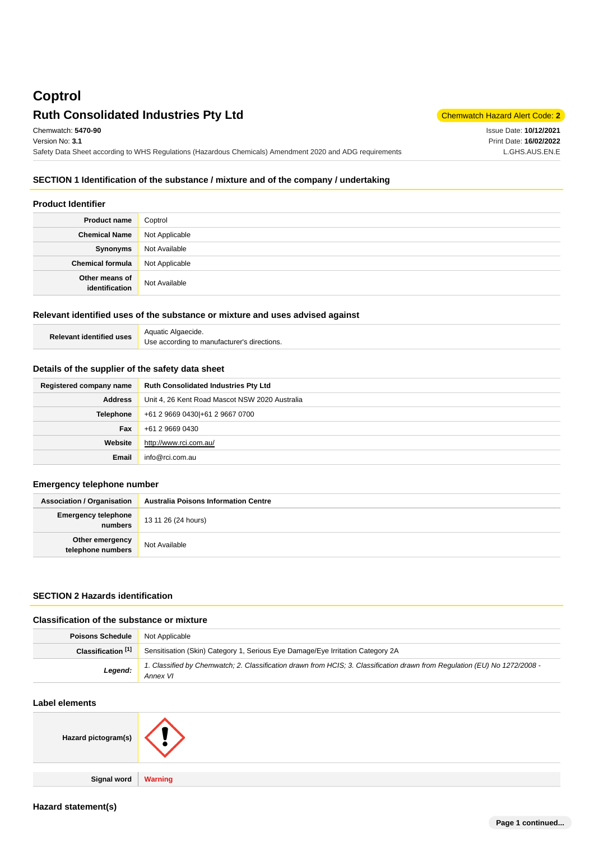# **Coptrol Ruth Consolidated Industries Pty Ltd** Chemwatch Hazard Alert Code: 2

L.GHS.AUS.EN.E

Chemwatch: **5470-90** Version No: **3.1** Safety Data Sheet according to WHS Regulations (Hazardous Chemicals) Amendment 2020 and ADG requirements Issue Date: **10/12/2021** Print Date: **16/02/2022**

## **SECTION 1 Identification of the substance / mixture and of the company / undertaking**

#### **Product Identifier**

| <b>Product name</b>              | Coptrol        |
|----------------------------------|----------------|
| <b>Chemical Name</b>             | Not Applicable |
| Synonyms                         | Not Available  |
| <b>Chemical formula</b>          | Not Applicable |
| Other means of<br>identification | Not Available  |

## **Relevant identified uses of the substance or mixture and uses advised against**

| <b>Relevant identified uses</b> | Aquatic Algaecide.                          |
|---------------------------------|---------------------------------------------|
|                                 | Use according to manufacturer's directions. |

### **Details of the supplier of the safety data sheet**

| Registered company name | <b>Ruth Consolidated Industries Pty Ltd</b>    |
|-------------------------|------------------------------------------------|
| <b>Address</b>          | Unit 4, 26 Kent Road Mascot NSW 2020 Australia |
| <b>Telephone</b>        | +61 2 9669 0430 + 61 2 9667 0700               |
| Fax                     | +61 2 9669 0430                                |
| Website                 | http://www.rci.com.au/                         |
| Email                   | info@rci.com.au                                |

#### **Emergency telephone number**

| <b>Association / Organisation</b>     | <b>Australia Poisons Information Centre</b> |
|---------------------------------------|---------------------------------------------|
| <b>Emergency telephone</b><br>numbers | 13 11 26 (24 hours)                         |
| Other emergency<br>telephone numbers  | Not Available                               |

## **SECTION 2 Hazards identification**

#### **Classification of the substance or mixture**

| Poisons Schedule   | Not Applicable                                                                                                                         |
|--------------------|----------------------------------------------------------------------------------------------------------------------------------------|
| Classification [1] | Sensitisation (Skin) Category 1, Serious Eye Damage/Eye Irritation Category 2A                                                         |
| Legend:            | 1. Classified by Chemwatch; 2. Classification drawn from HCIS; 3. Classification drawn from Regulation (EU) No 1272/2008 -<br>Annex VI |

#### **Label elements**

**Hazard pictogram(s) Signal word Warning**

**Hazard statement(s)**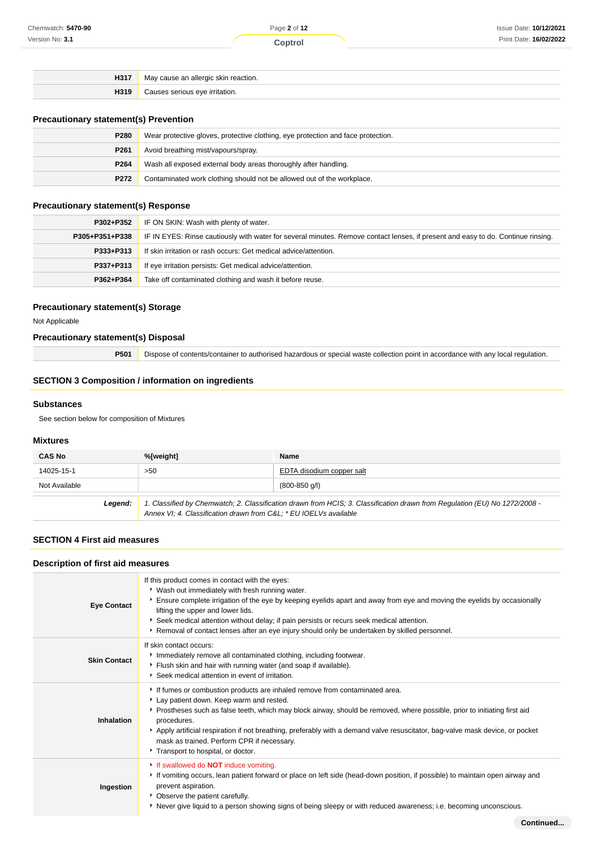| H317 | reaction.<br>IVIc |
|------|-------------------|
| H319 | urritation.       |

## **Precautionary statement(s) Prevention**

| P280             | Wear protective gloves, protective clothing, eye protection and face protection. |
|------------------|----------------------------------------------------------------------------------|
| P <sub>261</sub> | Avoid breathing mist/vapours/spray.                                              |
| P264             | Wash all exposed external body areas thoroughly after handling.                  |
| P272             | Contaminated work clothing should not be allowed out of the workplace.           |

## **Precautionary statement(s) Response**

| P302+P352      | IF ON SKIN: Wash with plenty of water.                                                                                           |
|----------------|----------------------------------------------------------------------------------------------------------------------------------|
| P305+P351+P338 | IF IN EYES: Rinse cautiously with water for several minutes. Remove contact lenses, if present and easy to do. Continue rinsing. |
| P333+P313      | If skin irritation or rash occurs: Get medical advice/attention.                                                                 |
| P337+P313      | If eye irritation persists: Get medical advice/attention.                                                                        |
| P362+P364      | Take off contaminated clothing and wash it before reuse.                                                                         |

## **Precautionary statement(s) Storage**

Not Applicable

## **Precautionary statement(s) Disposal**

**P501** Dispose of contents/container to authorised hazardous or special waste collection point in accordance with any local regulation.

## **SECTION 3 Composition / information on ingredients**

#### **Substances**

See section below for composition of Mixtures

## **Mixtures**

| <b>CAS No</b> | %[weight]<br>Name                                                                                                                                                                              |  |  |  |
|---------------|------------------------------------------------------------------------------------------------------------------------------------------------------------------------------------------------|--|--|--|
| 14025-15-1    | >50<br>EDTA disodium copper salt                                                                                                                                                               |  |  |  |
| Not Available | $(800-850 \text{ q/l})$                                                                                                                                                                        |  |  |  |
| Legend:       | 1. Classified by Chemwatch; 2. Classification drawn from HCIS; 3. Classification drawn from Regulation (EU) No 1272/2008 -<br>Annex VI; 4. Classification drawn from C&L * EU IOELVs available |  |  |  |

### **SECTION 4 First aid measures**

#### **Description of first aid measures**

| <b>Eye Contact</b>  | If this product comes in contact with the eyes:<br>* Wash out immediately with fresh running water.<br>Ensure complete irrigation of the eye by keeping eyelids apart and away from eye and moving the eyelids by occasionally<br>lifting the upper and lower lids.<br>Seek medical attention without delay; if pain persists or recurs seek medical attention.<br>▶ Removal of contact lenses after an eye injury should only be undertaken by skilled personnel.                  |
|---------------------|-------------------------------------------------------------------------------------------------------------------------------------------------------------------------------------------------------------------------------------------------------------------------------------------------------------------------------------------------------------------------------------------------------------------------------------------------------------------------------------|
| <b>Skin Contact</b> | If skin contact occurs:<br>Inmediately remove all contaminated clothing, including footwear.<br>Flush skin and hair with running water (and soap if available).<br>Seek medical attention in event of irritation.                                                                                                                                                                                                                                                                   |
| <b>Inhalation</b>   | If fumes or combustion products are inhaled remove from contaminated area.<br>Lay patient down. Keep warm and rested.<br>Prostheses such as false teeth, which may block airway, should be removed, where possible, prior to initiating first aid<br>procedures.<br>Apply artificial respiration if not breathing, preferably with a demand valve resuscitator, bag-valve mask device, or pocket<br>mask as trained. Perform CPR if necessary.<br>Transport to hospital, or doctor. |
| Ingestion           | If swallowed do <b>NOT</b> induce vomiting.<br>If vomiting occurs, lean patient forward or place on left side (head-down position, if possible) to maintain open airway and<br>prevent aspiration.<br>• Observe the patient carefully.<br>Never give liquid to a person showing signs of being sleepy or with reduced awareness; i.e. becoming unconscious.                                                                                                                         |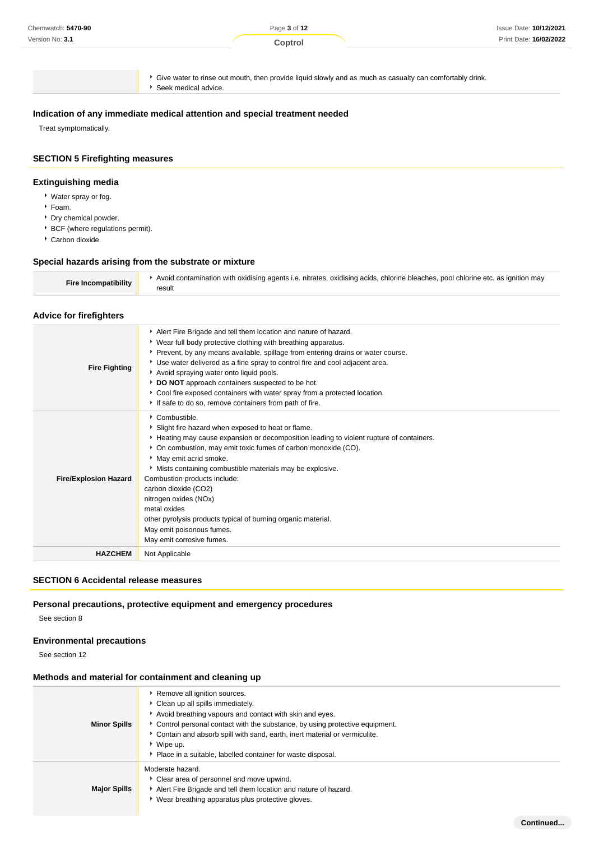| Chemwatch: 5470-90 | Page 3 of 12 | Issue Date: 10/12/2021 |
|--------------------|--------------|------------------------|
| Version No: 3.1    | Coptrol      | Print Date: 16/02/2022 |
|                    |              |                        |

Give water to rinse out mouth, then provide liquid slowly and as much as casualty can comfortably drink.

Seek medical advice.

## **Indication of any immediate medical attention and special treatment needed**

Treat symptomatically.

## **SECTION 5 Firefighting measures**

## **Extinguishing media**

- Water spray or fog.
- Foam.
- Dry chemical powder.
- BCF (where regulations permit).
- Carbon dioxide.

## **Special hazards arising from the substrate or mixture**

| <b>Fire Incompatibility</b> | Avoid contamination with oxidising agents i.e. nitrates, oxidising acids, chlorine bleaches, pool chlorine etc. as ignition may |
|-----------------------------|---------------------------------------------------------------------------------------------------------------------------------|
|                             | result                                                                                                                          |

#### **Advice for firefighters**

| <b>Fire Fighting</b>         | Alert Fire Brigade and tell them location and nature of hazard.<br>• Wear full body protective clothing with breathing apparatus.<br>Prevent, by any means available, spillage from entering drains or water course.<br>• Use water delivered as a fine spray to control fire and cool adjacent area.<br>Avoid spraying water onto liquid pools.<br>DO NOT approach containers suspected to be hot.<br>Cool fire exposed containers with water spray from a protected location.<br>If safe to do so, remove containers from path of fire.          |
|------------------------------|----------------------------------------------------------------------------------------------------------------------------------------------------------------------------------------------------------------------------------------------------------------------------------------------------------------------------------------------------------------------------------------------------------------------------------------------------------------------------------------------------------------------------------------------------|
| <b>Fire/Explosion Hazard</b> | Combustible.<br>Slight fire hazard when exposed to heat or flame.<br>► Heating may cause expansion or decomposition leading to violent rupture of containers.<br>• On combustion, may emit toxic fumes of carbon monoxide (CO).<br>* May emit acrid smoke.<br>Mists containing combustible materials may be explosive.<br>Combustion products include:<br>carbon dioxide (CO2)<br>nitrogen oxides (NOx)<br>metal oxides<br>other pyrolysis products typical of burning organic material.<br>May emit poisonous fumes.<br>May emit corrosive fumes. |
| <b>HAZCHEM</b>               | Not Applicable                                                                                                                                                                                                                                                                                                                                                                                                                                                                                                                                     |

#### **SECTION 6 Accidental release measures**

## **Personal precautions, protective equipment and emergency procedures**

See section 8

### **Environmental precautions**

See section 12

#### **Methods and material for containment and cleaning up**

| <b>Minor Spills</b> | Remove all ignition sources.<br>Clean up all spills immediately.<br>Avoid breathing vapours and contact with skin and eyes.<br>Control personal contact with the substance, by using protective equipment.<br>Contain and absorb spill with sand, earth, inert material or vermiculite.<br>$\cdot$ Wipe up.<br>• Place in a suitable, labelled container for waste disposal. |
|---------------------|------------------------------------------------------------------------------------------------------------------------------------------------------------------------------------------------------------------------------------------------------------------------------------------------------------------------------------------------------------------------------|
| <b>Major Spills</b> | Moderate hazard.<br>Clear area of personnel and move upwind.<br>Alert Fire Brigade and tell them location and nature of hazard.<br>• Wear breathing apparatus plus protective gloves.                                                                                                                                                                                        |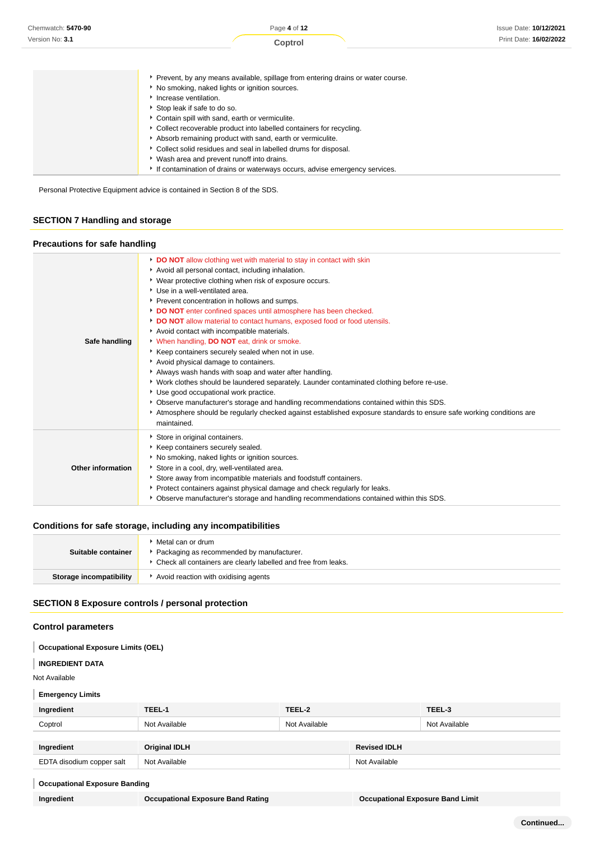| Chemwatch: 5470-90 | Page 4 of 12                                                                      | <b>Issue Date: 10/12/2021</b> |
|--------------------|-----------------------------------------------------------------------------------|-------------------------------|
| Version No: 3.1    | Coptrol                                                                           | Print Date: 16/02/2022        |
|                    |                                                                                   |                               |
|                    | ▶ Prevent, by any means available, spillage from entering drains or water course. |                               |
|                    | No smoking, naked lights or ignition sources.                                     |                               |
|                    | • Increase ventilation.                                                           |                               |
|                    | Stop leak if safe to do so.                                                       |                               |
|                    | Contain spill with sand, earth or vermiculite.                                    |                               |
|                    | • Collect recoverable product into labelled containers for recycling.             |                               |
|                    | Absorb remaining product with sand, earth or vermiculite.                         |                               |
|                    | • Collect solid residues and seal in labelled drums for disposal.                 |                               |
|                    | • Wash area and prevent runoff into drains.                                       |                               |
|                    | If contamination of drains or waterways occurs, advise emergency services.        |                               |
|                    |                                                                                   |                               |

Personal Protective Equipment advice is contained in Section 8 of the SDS.

## **SECTION 7 Handling and storage**

## **Precautions for safe handling**

| Safe handling     | DO NOT allow clothing wet with material to stay in contact with skin<br>Avoid all personal contact, including inhalation.<br>▶ Wear protective clothing when risk of exposure occurs.<br>Use in a well-ventilated area.<br>Prevent concentration in hollows and sumps.<br>DO NOT enter confined spaces until atmosphere has been checked.<br>DO NOT allow material to contact humans, exposed food or food utensils.<br>Avoid contact with incompatible materials.<br>V When handling, DO NOT eat, drink or smoke.<br>Keep containers securely sealed when not in use.<br>Avoid physical damage to containers.<br>Always wash hands with soap and water after handling.<br>▶ Work clothes should be laundered separately. Launder contaminated clothing before re-use.<br>Use good occupational work practice.<br>• Observe manufacturer's storage and handling recommendations contained within this SDS.<br>Atmosphere should be regularly checked against established exposure standards to ensure safe working conditions are<br>maintained. |
|-------------------|--------------------------------------------------------------------------------------------------------------------------------------------------------------------------------------------------------------------------------------------------------------------------------------------------------------------------------------------------------------------------------------------------------------------------------------------------------------------------------------------------------------------------------------------------------------------------------------------------------------------------------------------------------------------------------------------------------------------------------------------------------------------------------------------------------------------------------------------------------------------------------------------------------------------------------------------------------------------------------------------------------------------------------------------------|
| Other information | Store in original containers.<br>Keep containers securely sealed.<br>No smoking, naked lights or ignition sources.<br>Store in a cool, dry, well-ventilated area.<br>Store away from incompatible materials and foodstuff containers.<br>Protect containers against physical damage and check regularly for leaks.<br>Observe manufacturer's storage and handling recommendations contained within this SDS.                                                                                                                                                                                                                                                                                                                                                                                                                                                                                                                                                                                                                                     |

## **Conditions for safe storage, including any incompatibilities**

| Suitable container      | 'Metal can or drum<br>Packaging as recommended by manufacturer.<br>• Check all containers are clearly labelled and free from leaks. |
|-------------------------|-------------------------------------------------------------------------------------------------------------------------------------|
| Storage incompatibility | Avoid reaction with oxidising agents                                                                                                |

## **SECTION 8 Exposure controls / personal protection**

## **Control parameters**

#### **Occupational Exposure Limits (OEL)**

#### **INGREDIENT DATA** ı

Not Available

#### I **Emergency Limits**

| Ingredient                | TEEL-1               | TEEL-2        |                     | TEEL-3        |
|---------------------------|----------------------|---------------|---------------------|---------------|
| Coptrol                   | Not Available        | Not Available |                     | Not Available |
|                           |                      |               |                     |               |
| Ingredient                | <b>Original IDLH</b> |               | <b>Revised IDLH</b> |               |
| EDTA disodium copper salt | Not Available        |               | Not Available       |               |

#### ı **Occupational Exposure Banding**

**Ingredient Occupational Exposure Band Rating Occupational Exposure Band Limit**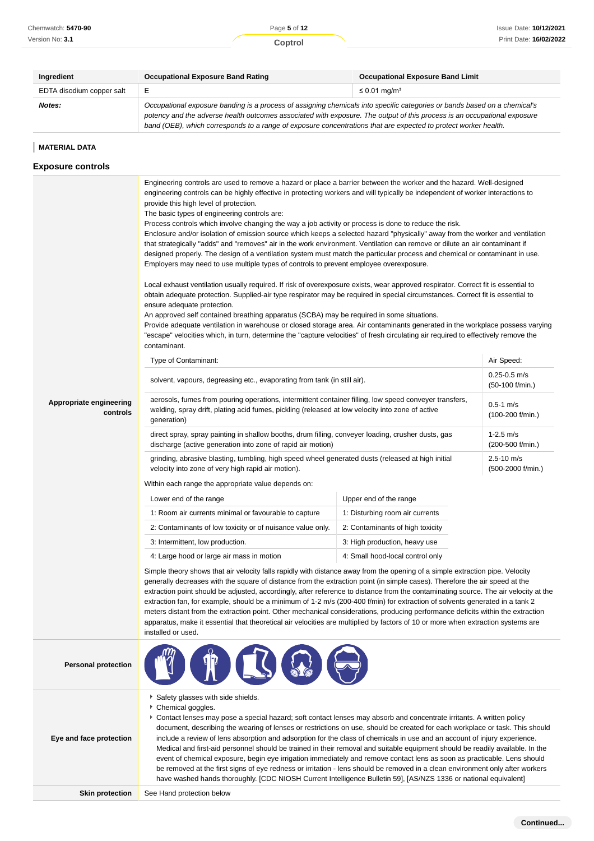| Ingredient                | <b>Occupational Exposure Band Rating</b>                                                                                                                                                                                                              | <b>Occupational Exposure Band Limit</b> |  |
|---------------------------|-------------------------------------------------------------------------------------------------------------------------------------------------------------------------------------------------------------------------------------------------------|-----------------------------------------|--|
| EDTA disodium copper salt |                                                                                                                                                                                                                                                       | $\leq 0.01$ ma/m <sup>3</sup>           |  |
| Notes:                    | Occupational exposure banding is a process of assigning chemicals into specific categories or bands based on a chemical's<br>potency and the adverse health outcomes associated with exposure. The output of this process is an occupational exposure |                                         |  |
|                           | band (OEB), which corresponds to a range of exposure concentrations that are expected to protect worker health.                                                                                                                                       |                                         |  |

#### **MATERIAL DATA Exposure controls Appropriate engineering controls** Engineering controls are used to remove a hazard or place a barrier between the worker and the hazard. Well-designed engineering controls can be highly effective in protecting workers and will typically be independent of worker interactions to provide this high level of protection. The basic types of engineering controls are: Process controls which involve changing the way a job activity or process is done to reduce the risk. Enclosure and/or isolation of emission source which keeps a selected hazard "physically" away from the worker and ventilation that strategically "adds" and "removes" air in the work environment. Ventilation can remove or dilute an air contaminant if designed properly. The design of a ventilation system must match the particular process and chemical or contaminant in use. Employers may need to use multiple types of controls to prevent employee overexposure. Local exhaust ventilation usually required. If risk of overexposure exists, wear approved respirator. Correct fit is essential to obtain adequate protection. Supplied-air type respirator may be required in special circumstances. Correct fit is essential to ensure adequate protection. An approved self contained breathing apparatus (SCBA) may be required in some situations. Provide adequate ventilation in warehouse or closed storage area. Air contaminants generated in the workplace possess varying "escape" velocities which, in turn, determine the "capture velocities" of fresh circulating air required to effectively remove the contaminant. Type of Contaminant: Air Speed: Air Speed: Air Speed: Air Speed: Air Speed: Air Speed: Air Speed: Air Speed: Air Speed: Air Speed: Air Speed: Air Speed: Air Speed: Air Speed: Air Speed: Air Speed: Air Speed: Air Speed: Air solvent, vapours, degreasing etc., evaporating from tank (in still air). (50-100 f/min.) aerosols, fumes from pouring operations, intermittent container filling, low speed conveyer transfers, welding, spray drift, plating acid fumes, pickling (released at low velocity into zone of active generation) 0.5-1 m/s (100-200 f/min.) direct spray, spray painting in shallow booths, drum filling, conveyer loading, crusher dusts, gas discharge (active generation into zone of rapid air motion) 1-2.5 m/s (200-500 f/min.) grinding, abrasive blasting, tumbling, high speed wheel generated dusts (released at high initial velocity into zone of very high rapid air motion). 2.5-10 m/s (500-2000 f/min.) Within each range the appropriate value depends on: Lower end of the range Upper end of the range 1: Room air currents minimal or favourable to capture 1: Disturbing room air currents 2: Contaminants of low toxicity or of nuisance value only. 2: Contaminants of high toxicity 3: Intermittent, low production. **3: High production**, heavy use 4: Large hood or large air mass in motion 4: Small hood-local control only Simple theory shows that air velocity falls rapidly with distance away from the opening of a simple extraction pipe. Velocity generally decreases with the square of distance from the extraction point (in simple cases). Therefore the air speed at the extraction point should be adjusted, accordingly, after reference to distance from the contaminating source. The air velocity at the extraction fan, for example, should be a minimum of 1-2 m/s (200-400 f/min) for extraction of solvents generated in a tank 2 meters distant from the extraction point. Other mechanical considerations, producing performance deficits within the extraction apparatus, make it essential that theoretical air velocities are multiplied by factors of 10 or more when extraction systems are installed or used. **Personal protection**

**Safety glasses with side shields.** 

Chemical goggles.

Contact lenses may pose a special hazard; soft contact lenses may absorb and concentrate irritants. A written policy document, describing the wearing of lenses or restrictions on use, should be created for each workplace or task. This should include a review of lens absorption and adsorption for the class of chemicals in use and an account of injury experience. Medical and first-aid personnel should be trained in their removal and suitable equipment should be readily available. In the event of chemical exposure, begin eye irrigation immediately and remove contact lens as soon as practicable. Lens should be removed at the first signs of eye redness or irritation - lens should be removed in a clean environment only after workers have washed hands thoroughly. [CDC NIOSH Current Intelligence Bulletin 59], [AS/NZS 1336 or national equivalent]

**Skin protection** See Hand protection below

**Eye and face protection**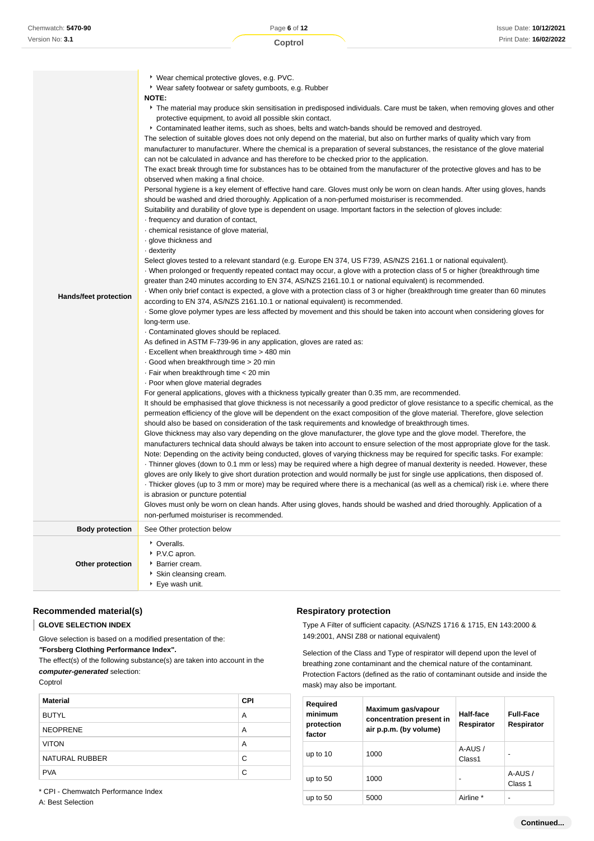| Hands/feet protection  | ▸ Wear chemical protective gloves, e.g. PVC.<br>▶ Wear safety footwear or safety gumboots, e.g. Rubber<br>NOTE:<br>The material may produce skin sensitisation in predisposed individuals. Care must be taken, when removing gloves and other<br>protective equipment, to avoid all possible skin contact.<br>Contaminated leather items, such as shoes, belts and watch-bands should be removed and destroyed.<br>The selection of suitable gloves does not only depend on the material, but also on further marks of quality which vary from<br>manufacturer to manufacturer. Where the chemical is a preparation of several substances, the resistance of the glove material<br>can not be calculated in advance and has therefore to be checked prior to the application.<br>The exact break through time for substances has to be obtained from the manufacturer of the protective gloves and has to be<br>observed when making a final choice.<br>Personal hygiene is a key element of effective hand care. Gloves must only be worn on clean hands. After using gloves, hands<br>should be washed and dried thoroughly. Application of a non-perfumed moisturiser is recommended.<br>Suitability and durability of glove type is dependent on usage. Important factors in the selection of gloves include:<br>- frequency and duration of contact,<br>- chemical resistance of glove material,<br>glove thickness and<br>- dexterity<br>Select gloves tested to a relevant standard (e.g. Europe EN 374, US F739, AS/NZS 2161.1 or national equivalent).<br>When prolonged or frequently repeated contact may occur, a glove with a protection class of 5 or higher (breakthrough time<br>greater than 240 minutes according to EN 374, AS/NZS 2161.10.1 or national equivalent) is recommended.<br>When only brief contact is expected, a glove with a protection class of 3 or higher (breakthrough time greater than 60 minutes<br>according to EN 374, AS/NZS 2161.10.1 or national equivalent) is recommended.<br>Some glove polymer types are less affected by movement and this should be taken into account when considering gloves for<br>long-term use.<br>Contaminated gloves should be replaced.<br>As defined in ASTM F-739-96 in any application, gloves are rated as:<br>- Excellent when breakthrough time > 480 min<br>Good when breakthrough time > 20 min<br>- Fair when breakthrough time < 20 min<br>· Poor when glove material degrades<br>For general applications, gloves with a thickness typically greater than 0.35 mm, are recommended.<br>It should be emphasised that glove thickness is not necessarily a good predictor of glove resistance to a specific chemical, as the<br>permeation efficiency of the glove will be dependent on the exact composition of the glove material. Therefore, glove selection<br>should also be based on consideration of the task requirements and knowledge of breakthrough times.<br>Glove thickness may also vary depending on the glove manufacturer, the glove type and the glove model. Therefore, the<br>manufacturers technical data should always be taken into account to ensure selection of the most appropriate glove for the task.<br>Note: Depending on the activity being conducted, gloves of varying thickness may be required for specific tasks. For example:<br>Thinner gloves (down to 0.1 mm or less) may be required where a high degree of manual dexterity is needed. However, these -<br>gloves are only likely to give short duration protection and would normally be just for single use applications, then disposed of.<br>Thicker gloves (up to 3 mm or more) may be required where there is a mechanical (as well as a chemical) risk i.e. where there<br>is abrasion or puncture potential<br>Gloves must only be worn on clean hands. After using gloves, hands should be washed and dried thoroughly. Application of a<br>non-perfumed moisturiser is recommended. |
|------------------------|--------------------------------------------------------------------------------------------------------------------------------------------------------------------------------------------------------------------------------------------------------------------------------------------------------------------------------------------------------------------------------------------------------------------------------------------------------------------------------------------------------------------------------------------------------------------------------------------------------------------------------------------------------------------------------------------------------------------------------------------------------------------------------------------------------------------------------------------------------------------------------------------------------------------------------------------------------------------------------------------------------------------------------------------------------------------------------------------------------------------------------------------------------------------------------------------------------------------------------------------------------------------------------------------------------------------------------------------------------------------------------------------------------------------------------------------------------------------------------------------------------------------------------------------------------------------------------------------------------------------------------------------------------------------------------------------------------------------------------------------------------------------------------------------------------------------------------------------------------------------------------------------------------------------------------------------------------------------------------------------------------------------------------------------------------------------------------------------------------------------------------------------------------------------------------------------------------------------------------------------------------------------------------------------------------------------------------------------------------------------------------------------------------------------------------------------------------------------------------------------------------------------------------------------------------------------------------------------------------------------------------------------------------------------------------------------------------------------------------------------------------------------------------------------------------------------------------------------------------------------------------------------------------------------------------------------------------------------------------------------------------------------------------------------------------------------------------------------------------------------------------------------------------------------------------------------------------------------------------------------------------------------------------------------------------------------------------------------------------------------------------------------------------------------------------------------------------------------------------------------------------------------------------------------------------------------------------------------------------------------------------------------------------------------------------------------------------------------------------------------------------------------------------------------------------------------------------------------------------------------------------------------------------------------------------------------------------------------------------|
| <b>Body protection</b> | See Other protection below                                                                                                                                                                                                                                                                                                                                                                                                                                                                                                                                                                                                                                                                                                                                                                                                                                                                                                                                                                                                                                                                                                                                                                                                                                                                                                                                                                                                                                                                                                                                                                                                                                                                                                                                                                                                                                                                                                                                                                                                                                                                                                                                                                                                                                                                                                                                                                                                                                                                                                                                                                                                                                                                                                                                                                                                                                                                                                                                                                                                                                                                                                                                                                                                                                                                                                                                                                                                                                                                                                                                                                                                                                                                                                                                                                                                                                                                                                                                                     |
| Other protection       | Overalls.<br>P.V.C apron.<br>▶ Barrier cream.<br>Skin cleansing cream.<br>▶ Eye wash unit.                                                                                                                                                                                                                                                                                                                                                                                                                                                                                                                                                                                                                                                                                                                                                                                                                                                                                                                                                                                                                                                                                                                                                                                                                                                                                                                                                                                                                                                                                                                                                                                                                                                                                                                                                                                                                                                                                                                                                                                                                                                                                                                                                                                                                                                                                                                                                                                                                                                                                                                                                                                                                                                                                                                                                                                                                                                                                                                                                                                                                                                                                                                                                                                                                                                                                                                                                                                                                                                                                                                                                                                                                                                                                                                                                                                                                                                                                     |

## **Recommended material(s)**

**GLOVE SELECTION INDEX**

Glove selection is based on a modified presentation of the:

**"Forsberg Clothing Performance Index".**

The effect(s) of the following substance(s) are taken into account in the **computer-generated** selection:

Coptrol

I

| <b>Material</b> | <b>CPI</b> |
|-----------------|------------|
| <b>BUTYL</b>    | A          |
| <b>NEOPRENE</b> | A          |
| <b>VITON</b>    | A          |
| NATURAL RUBBER  | C          |
| <b>PVA</b>      | C          |

## **Respiratory protection**

Type A Filter of sufficient capacity. (AS/NZS 1716 & 1715, EN 143:2000 & 149:2001, ANSI Z88 or national equivalent)

Selection of the Class and Type of respirator will depend upon the level of breathing zone contaminant and the chemical nature of the contaminant. Protection Factors (defined as the ratio of contaminant outside and inside the mask) may also be important.

| <b>Required</b><br>minimum<br>protection<br>factor | Maximum gas/vapour<br>concentration present in<br>air p.p.m. (by volume) | Half-face<br>Respirator | <b>Full-Face</b><br>Respirator |
|----------------------------------------------------|--------------------------------------------------------------------------|-------------------------|--------------------------------|
| up to $10$                                         | 1000                                                                     | A-AUS /<br>Class1       |                                |
| up to $50$                                         | 1000                                                                     |                         | A-AUS/<br>Class 1              |
| up to $50$                                         | 5000                                                                     | Airline *               |                                |

A: Best Selection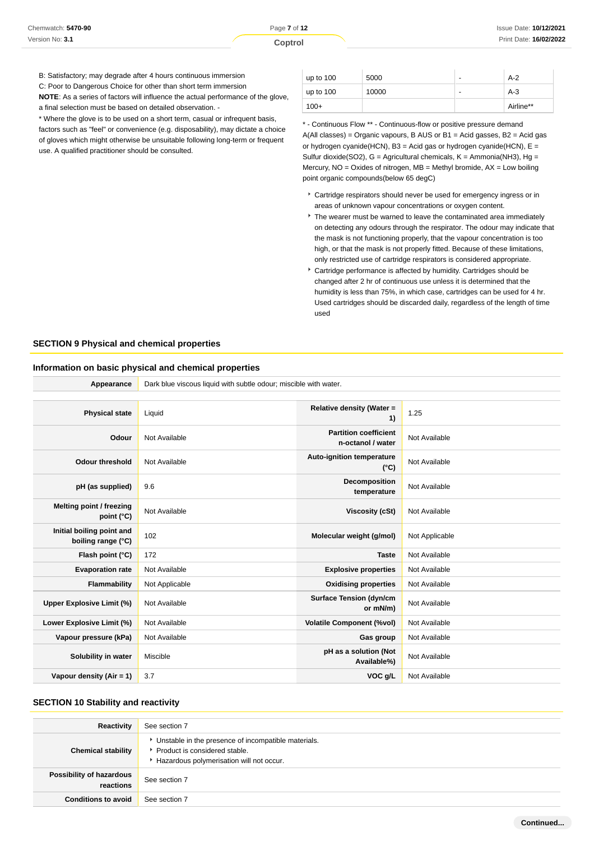B: Satisfactory; may degrade after 4 hours continuous immersion

C: Poor to Dangerous Choice for other than short term immersion

**NOTE**: As a series of factors will influence the actual performance of the glove, a final selection must be based on detailed observation. -

\* Where the glove is to be used on a short term, casual or infrequent basis,

factors such as "feel" or convenience (e.g. disposability), may dictate a choice of gloves which might otherwise be unsuitable following long-term or frequent use. A qualified practitioner should be consulted.

| $\mu$ up to 100 | 5000  | $A-2$     |
|-----------------|-------|-----------|
| up to 100       | 10000 | $A-3$     |
| $100+$          |       | Airline** |

\* - Continuous Flow \*\* - Continuous-flow or positive pressure demand A(All classes) = Organic vapours, B AUS or B1 = Acid gasses, B2 = Acid gas or hydrogen cyanide(HCN), B3 = Acid gas or hydrogen cyanide(HCN),  $E =$ Sulfur dioxide(SO2),  $G =$  Agricultural chemicals,  $K =$  Ammonia(NH3), Hg = Mercury,  $NO = Oxides$  of nitrogen,  $MB = Methyl$  bromide,  $AX = Low$  boiling point organic compounds(below 65 degC)

- Cartridge respirators should never be used for emergency ingress or in areas of unknown vapour concentrations or oxygen content.
- $\overline{\phantom{a}}$  The wearer must be warned to leave the contaminated area immediately on detecting any odours through the respirator. The odour may indicate that the mask is not functioning properly, that the vapour concentration is too high, or that the mask is not properly fitted. Because of these limitations, only restricted use of cartridge respirators is considered appropriate.
- Cartridge performance is affected by humidity. Cartridges should be changed after 2 hr of continuous use unless it is determined that the humidity is less than 75%, in which case, cartridges can be used for 4 hr. Used cartridges should be discarded daily, regardless of the length of time used

#### **SECTION 9 Physical and chemical properties**

#### **Information on basic physical and chemical properties**

| Appearance                                      | Dark blue viscous liquid with subtle odour; miscible with water. |                                                   |                |  |
|-------------------------------------------------|------------------------------------------------------------------|---------------------------------------------------|----------------|--|
|                                                 |                                                                  |                                                   |                |  |
| <b>Physical state</b>                           | Liquid                                                           | Relative density (Water =<br>1)                   | 1.25           |  |
| Odour                                           | Not Available                                                    | <b>Partition coefficient</b><br>n-octanol / water | Not Available  |  |
| <b>Odour threshold</b>                          | Not Available                                                    | Auto-ignition temperature<br>$(^{\circ}C)$        | Not Available  |  |
| pH (as supplied)                                | 9.6                                                              | Decomposition<br>temperature                      | Not Available  |  |
| Melting point / freezing<br>point (°C)          | Not Available                                                    | Viscosity (cSt)                                   | Not Available  |  |
| Initial boiling point and<br>boiling range (°C) | 102                                                              | Molecular weight (g/mol)                          | Not Applicable |  |
| Flash point (°C)                                | 172                                                              | <b>Taste</b>                                      | Not Available  |  |
| <b>Evaporation rate</b>                         | Not Available                                                    | <b>Explosive properties</b>                       | Not Available  |  |
| <b>Flammability</b>                             | Not Applicable                                                   | <b>Oxidising properties</b>                       | Not Available  |  |
| <b>Upper Explosive Limit (%)</b>                | Not Available                                                    | <b>Surface Tension (dyn/cm</b><br>or mN/m)        | Not Available  |  |
| Lower Explosive Limit (%)                       | Not Available                                                    | <b>Volatile Component (%vol)</b>                  | Not Available  |  |
| Vapour pressure (kPa)                           | Not Available                                                    | Gas group                                         | Not Available  |  |
| Solubility in water                             | Miscible                                                         | pH as a solution (Not<br>Available%)              | Not Available  |  |
| Vapour density (Air = 1)                        | 3.7                                                              | VOC g/L                                           | Not Available  |  |

#### **SECTION 10 Stability and reactivity**

| Reactivity                            | See section 7                                                                                                                        |
|---------------------------------------|--------------------------------------------------------------------------------------------------------------------------------------|
| <b>Chemical stability</b>             | • Unstable in the presence of incompatible materials.<br>▶ Product is considered stable.<br>Hazardous polymerisation will not occur. |
| Possibility of hazardous<br>reactions | See section 7                                                                                                                        |
| <b>Conditions to avoid</b>            | See section 7                                                                                                                        |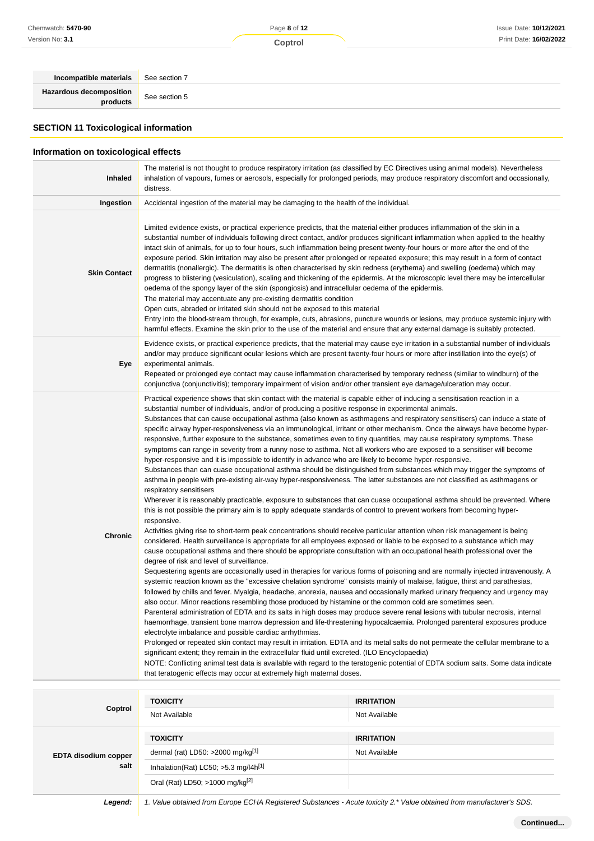Page **8** of **12**

**Coptrol**

| Incompatible materials   See section 7 |
|----------------------------------------|
| See section 5                          |
|                                        |

## **SECTION 11 Toxicological information**

## **Information on toxicological effects**

| <b>Inhaled</b>      | The material is not thought to produce respiratory irritation (as classified by EC Directives using animal models). Nevertheless<br>inhalation of vapours, fumes or aerosols, especially for prolonged periods, may produce respiratory discomfort and occasionally,<br>distress.                                                                                                                                                                                                                                                                                                                                                                                                                                                                                                                                                                                                                                                                                                                                                                                                                                                                                                                                                                                                                                                                                                                                                                                                                                                                                                                                                                                                                                                                                                                                                                                                                                                                                                                                                                                                                                                                                                                                                                                                                                                                                                                                                                                                                                                                                                                                                                                                                                                                                                                                                                                                                                                                                                                                                                                                                                                                         |
|---------------------|-----------------------------------------------------------------------------------------------------------------------------------------------------------------------------------------------------------------------------------------------------------------------------------------------------------------------------------------------------------------------------------------------------------------------------------------------------------------------------------------------------------------------------------------------------------------------------------------------------------------------------------------------------------------------------------------------------------------------------------------------------------------------------------------------------------------------------------------------------------------------------------------------------------------------------------------------------------------------------------------------------------------------------------------------------------------------------------------------------------------------------------------------------------------------------------------------------------------------------------------------------------------------------------------------------------------------------------------------------------------------------------------------------------------------------------------------------------------------------------------------------------------------------------------------------------------------------------------------------------------------------------------------------------------------------------------------------------------------------------------------------------------------------------------------------------------------------------------------------------------------------------------------------------------------------------------------------------------------------------------------------------------------------------------------------------------------------------------------------------------------------------------------------------------------------------------------------------------------------------------------------------------------------------------------------------------------------------------------------------------------------------------------------------------------------------------------------------------------------------------------------------------------------------------------------------------------------------------------------------------------------------------------------------------------------------------------------------------------------------------------------------------------------------------------------------------------------------------------------------------------------------------------------------------------------------------------------------------------------------------------------------------------------------------------------------------------------------------------------------------------------------------------------------|
| Ingestion           | Accidental ingestion of the material may be damaging to the health of the individual.                                                                                                                                                                                                                                                                                                                                                                                                                                                                                                                                                                                                                                                                                                                                                                                                                                                                                                                                                                                                                                                                                                                                                                                                                                                                                                                                                                                                                                                                                                                                                                                                                                                                                                                                                                                                                                                                                                                                                                                                                                                                                                                                                                                                                                                                                                                                                                                                                                                                                                                                                                                                                                                                                                                                                                                                                                                                                                                                                                                                                                                                     |
| <b>Skin Contact</b> | Limited evidence exists, or practical experience predicts, that the material either produces inflammation of the skin in a<br>substantial number of individuals following direct contact, and/or produces significant inflammation when applied to the healthy<br>intact skin of animals, for up to four hours, such inflammation being present twenty-four hours or more after the end of the<br>exposure period. Skin irritation may also be present after prolonged or repeated exposure; this may result in a form of contact<br>dermatitis (nonallergic). The dermatitis is often characterised by skin redness (erythema) and swelling (oedema) which may<br>progress to blistering (vesiculation), scaling and thickening of the epidermis. At the microscopic level there may be intercellular<br>oedema of the spongy layer of the skin (spongiosis) and intracellular oedema of the epidermis.<br>The material may accentuate any pre-existing dermatitis condition<br>Open cuts, abraded or irritated skin should not be exposed to this material<br>Entry into the blood-stream through, for example, cuts, abrasions, puncture wounds or lesions, may produce systemic injury with<br>harmful effects. Examine the skin prior to the use of the material and ensure that any external damage is suitably protected.                                                                                                                                                                                                                                                                                                                                                                                                                                                                                                                                                                                                                                                                                                                                                                                                                                                                                                                                                                                                                                                                                                                                                                                                                                                                                                                                                                                                                                                                                                                                                                                                                                                                                                                                                                                                                          |
| Eye                 | Evidence exists, or practical experience predicts, that the material may cause eye irritation in a substantial number of individuals<br>and/or may produce significant ocular lesions which are present twenty-four hours or more after instillation into the eye(s) of<br>experimental animals.<br>Repeated or prolonged eye contact may cause inflammation characterised by temporary redness (similar to windburn) of the<br>conjunctiva (conjunctivitis); temporary impairment of vision and/or other transient eye damage/ulceration may occur.                                                                                                                                                                                                                                                                                                                                                                                                                                                                                                                                                                                                                                                                                                                                                                                                                                                                                                                                                                                                                                                                                                                                                                                                                                                                                                                                                                                                                                                                                                                                                                                                                                                                                                                                                                                                                                                                                                                                                                                                                                                                                                                                                                                                                                                                                                                                                                                                                                                                                                                                                                                                      |
| <b>Chronic</b>      | Practical experience shows that skin contact with the material is capable either of inducing a sensitisation reaction in a<br>substantial number of individuals, and/or of producing a positive response in experimental animals.<br>Substances that can cause occupational asthma (also known as asthmagens and respiratory sensitisers) can induce a state of<br>specific airway hyper-responsiveness via an immunological, irritant or other mechanism. Once the airways have become hyper-<br>responsive, further exposure to the substance, sometimes even to tiny quantities, may cause respiratory symptoms. These<br>symptoms can range in severity from a runny nose to asthma. Not all workers who are exposed to a sensitiser will become<br>hyper-responsive and it is impossible to identify in advance who are likely to become hyper-responsive.<br>Substances than can cuase occupational asthma should be distinguished from substances which may trigger the symptoms of<br>asthma in people with pre-existing air-way hyper-responsiveness. The latter substances are not classified as asthmagens or<br>respiratory sensitisers<br>Wherever it is reasonably practicable, exposure to substances that can cuase occupational asthma should be prevented. Where<br>this is not possible the primary aim is to apply adequate standards of control to prevent workers from becoming hyper-<br>responsive.<br>Activities giving rise to short-term peak concentrations should receive particular attention when risk management is being<br>considered. Health surveillance is appropriate for all employees exposed or liable to be exposed to a substance which may<br>cause occupational asthma and there should be appropriate consultation with an occupational health professional over the<br>degree of risk and level of surveillance.<br>Sequestering agents are occasionally used in therapies for various forms of poisoning and are normally injected intravenously. A<br>systemic reaction known as the "excessive chelation syndrome" consists mainly of malaise, fatigue, thirst and parathesias,<br>followed by chills and fever. Myalgia, headache, anorexia, nausea and occasionally marked urinary frequency and urgency may<br>also occur. Minor reactions resembling those produced by histamine or the common cold are sometimes seen.<br>Parenteral administration of EDTA and its salts in high doses may produce severe renal lesions with tubular necrosis, internal<br>haemorrhage, transient bone marrow depression and life-threatening hypocalcaemia. Prolonged parenteral exposures produce<br>electrolyte imbalance and possible cardiac arrhythmias.<br>Prolonged or repeated skin contact may result in irritation. EDTA and its metal salts do not permeate the cellular membrane to a<br>significant extent; they remain in the extracellular fluid until excreted. (ILO Encyclopaedia)<br>NOTE: Conflicting animal test data is available with regard to the teratogenic potential of EDTA sodium salts. Some data indicate<br>that teratogenic effects may occur at extremely high maternal doses. |

| Coptrol                      | <b>TOXICITY</b><br>Not Available                                                                                                                                      | <b>IRRITATION</b><br>Not Available |
|------------------------------|-----------------------------------------------------------------------------------------------------------------------------------------------------------------------|------------------------------------|
| EDTA disodium copper<br>salt | <b>TOXICITY</b><br>dermal (rat) LD50: >2000 mg/kg <sup>[1]</sup><br>Inhalation(Rat) LC50; $>5.3$ mg/l4h <sup>[1]</sup><br>Oral (Rat) LD50; >1000 mg/kg <sup>[2]</sup> | <b>IRRITATION</b><br>Not Available |

Legend: 1. Value obtained from Europe ECHA Registered Substances - Acute toxicity 2.\* Value obtained from manufacturer's SDS.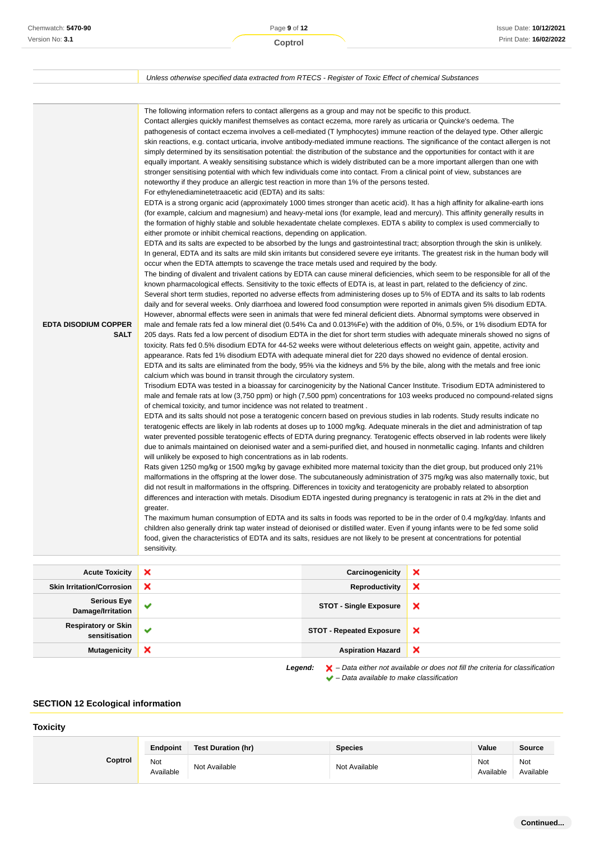|  | Unless otherwise specified data extracted from RTECS - Register of Toxic Effect of chemical Substances |
|--|--------------------------------------------------------------------------------------------------------|
|--|--------------------------------------------------------------------------------------------------------|

| Chemwatch: 5470-90                                          |                                           | Page 9 of 12                                                                                                                                                                                                                                                                                                                                                                                                                                                                                                                                                                                                                                                                                                                                                                                                                                                                                                                                                                                                                                                                                                                                                                                                                                                                                                                                                                                                                                                                                                                                                                                                                                                                                                                                                                                                                                                                                                                                                                                                                                                                                                                                                                                                                                                                                                                                                                                                                                                                                                                                                                                                                                                                                                                                                                                                                                                                                                                                                                                                                                                                                                                                                                                                                                                                                                                                                                                                                                                                                                                                                                                                                                                                                                                                                                                                                                                                                                                                                                                                                                                                                                                                                                                                                                                                                                                                                                                                                                                                                                                                                                                                                                                                                                                                                                                                                                                                                                                                                                                                                                                                                                                                                                                                                  |  |                                                                                                                                                                     |   |                  | Issue Date: 10/12/202 |
|-------------------------------------------------------------|-------------------------------------------|-------------------------------------------------------------------------------------------------------------------------------------------------------------------------------------------------------------------------------------------------------------------------------------------------------------------------------------------------------------------------------------------------------------------------------------------------------------------------------------------------------------------------------------------------------------------------------------------------------------------------------------------------------------------------------------------------------------------------------------------------------------------------------------------------------------------------------------------------------------------------------------------------------------------------------------------------------------------------------------------------------------------------------------------------------------------------------------------------------------------------------------------------------------------------------------------------------------------------------------------------------------------------------------------------------------------------------------------------------------------------------------------------------------------------------------------------------------------------------------------------------------------------------------------------------------------------------------------------------------------------------------------------------------------------------------------------------------------------------------------------------------------------------------------------------------------------------------------------------------------------------------------------------------------------------------------------------------------------------------------------------------------------------------------------------------------------------------------------------------------------------------------------------------------------------------------------------------------------------------------------------------------------------------------------------------------------------------------------------------------------------------------------------------------------------------------------------------------------------------------------------------------------------------------------------------------------------------------------------------------------------------------------------------------------------------------------------------------------------------------------------------------------------------------------------------------------------------------------------------------------------------------------------------------------------------------------------------------------------------------------------------------------------------------------------------------------------------------------------------------------------------------------------------------------------------------------------------------------------------------------------------------------------------------------------------------------------------------------------------------------------------------------------------------------------------------------------------------------------------------------------------------------------------------------------------------------------------------------------------------------------------------------------------------------------------------------------------------------------------------------------------------------------------------------------------------------------------------------------------------------------------------------------------------------------------------------------------------------------------------------------------------------------------------------------------------------------------------------------------------------------------------------------------------------------------------------------------------------------------------------------------------------------------------------------------------------------------------------------------------------------------------------------------------------------------------------------------------------------------------------------------------------------------------------------------------------------------------------------------------------------------------------------------------------------------------------------------------------------------------------------------------------------------------------------------------------------------------------------------------------------------------------------------------------------------------------------------------------------------------------------------------------------------------------------------------------------------------------------------------------------------------------------------------------------------------------------------------------------|--|---------------------------------------------------------------------------------------------------------------------------------------------------------------------|---|------------------|-----------------------|
| Version No: 3.1                                             |                                           | Coptrol                                                                                                                                                                                                                                                                                                                                                                                                                                                                                                                                                                                                                                                                                                                                                                                                                                                                                                                                                                                                                                                                                                                                                                                                                                                                                                                                                                                                                                                                                                                                                                                                                                                                                                                                                                                                                                                                                                                                                                                                                                                                                                                                                                                                                                                                                                                                                                                                                                                                                                                                                                                                                                                                                                                                                                                                                                                                                                                                                                                                                                                                                                                                                                                                                                                                                                                                                                                                                                                                                                                                                                                                                                                                                                                                                                                                                                                                                                                                                                                                                                                                                                                                                                                                                                                                                                                                                                                                                                                                                                                                                                                                                                                                                                                                                                                                                                                                                                                                                                                                                                                                                                                                                                                                                       |  |                                                                                                                                                                     |   |                  | Print Date: 16/02/20: |
|                                                             |                                           |                                                                                                                                                                                                                                                                                                                                                                                                                                                                                                                                                                                                                                                                                                                                                                                                                                                                                                                                                                                                                                                                                                                                                                                                                                                                                                                                                                                                                                                                                                                                                                                                                                                                                                                                                                                                                                                                                                                                                                                                                                                                                                                                                                                                                                                                                                                                                                                                                                                                                                                                                                                                                                                                                                                                                                                                                                                                                                                                                                                                                                                                                                                                                                                                                                                                                                                                                                                                                                                                                                                                                                                                                                                                                                                                                                                                                                                                                                                                                                                                                                                                                                                                                                                                                                                                                                                                                                                                                                                                                                                                                                                                                                                                                                                                                                                                                                                                                                                                                                                                                                                                                                                                                                                                                               |  |                                                                                                                                                                     |   |                  |                       |
|                                                             |                                           |                                                                                                                                                                                                                                                                                                                                                                                                                                                                                                                                                                                                                                                                                                                                                                                                                                                                                                                                                                                                                                                                                                                                                                                                                                                                                                                                                                                                                                                                                                                                                                                                                                                                                                                                                                                                                                                                                                                                                                                                                                                                                                                                                                                                                                                                                                                                                                                                                                                                                                                                                                                                                                                                                                                                                                                                                                                                                                                                                                                                                                                                                                                                                                                                                                                                                                                                                                                                                                                                                                                                                                                                                                                                                                                                                                                                                                                                                                                                                                                                                                                                                                                                                                                                                                                                                                                                                                                                                                                                                                                                                                                                                                                                                                                                                                                                                                                                                                                                                                                                                                                                                                                                                                                                                               |  |                                                                                                                                                                     |   |                  |                       |
|                                                             |                                           | Unless otherwise specified data extracted from RTECS - Register of Toxic Effect of chemical Substances                                                                                                                                                                                                                                                                                                                                                                                                                                                                                                                                                                                                                                                                                                                                                                                                                                                                                                                                                                                                                                                                                                                                                                                                                                                                                                                                                                                                                                                                                                                                                                                                                                                                                                                                                                                                                                                                                                                                                                                                                                                                                                                                                                                                                                                                                                                                                                                                                                                                                                                                                                                                                                                                                                                                                                                                                                                                                                                                                                                                                                                                                                                                                                                                                                                                                                                                                                                                                                                                                                                                                                                                                                                                                                                                                                                                                                                                                                                                                                                                                                                                                                                                                                                                                                                                                                                                                                                                                                                                                                                                                                                                                                                                                                                                                                                                                                                                                                                                                                                                                                                                                                                        |  |                                                                                                                                                                     |   |                  |                       |
|                                                             |                                           |                                                                                                                                                                                                                                                                                                                                                                                                                                                                                                                                                                                                                                                                                                                                                                                                                                                                                                                                                                                                                                                                                                                                                                                                                                                                                                                                                                                                                                                                                                                                                                                                                                                                                                                                                                                                                                                                                                                                                                                                                                                                                                                                                                                                                                                                                                                                                                                                                                                                                                                                                                                                                                                                                                                                                                                                                                                                                                                                                                                                                                                                                                                                                                                                                                                                                                                                                                                                                                                                                                                                                                                                                                                                                                                                                                                                                                                                                                                                                                                                                                                                                                                                                                                                                                                                                                                                                                                                                                                                                                                                                                                                                                                                                                                                                                                                                                                                                                                                                                                                                                                                                                                                                                                                                               |  |                                                                                                                                                                     |   |                  |                       |
| <b>EDTA DISODIUM COPPER</b><br><b>SALT</b>                  | greater.<br>sensitivity.                  | The following information refers to contact allergens as a group and may not be specific to this product.<br>Contact allergies quickly manifest themselves as contact eczema, more rarely as urticaria or Quincke's oedema. The<br>pathogenesis of contact eczema involves a cell-mediated (T lymphocytes) immune reaction of the delayed type. Other allergic<br>skin reactions, e.g. contact urticaria, involve antibody-mediated immune reactions. The significance of the contact allergen is not<br>simply determined by its sensitisation potential: the distribution of the substance and the opportunities for contact with it are<br>equally important. A weakly sensitising substance which is widely distributed can be a more important allergen than one with<br>stronger sensitising potential with which few individuals come into contact. From a clinical point of view, substances are<br>noteworthy if they produce an allergic test reaction in more than 1% of the persons tested.<br>For ethylenediaminetetraacetic acid (EDTA) and its salts:<br>EDTA is a strong organic acid (approximately 1000 times stronger than acetic acid). It has a high affinity for alkaline-earth ions<br>(for example, calcium and magnesium) and heavy-metal ions (for example, lead and mercury). This affinity generally results in<br>the formation of highly stable and soluble hexadentate chelate complexes. EDTA s ability to complex is used commercially to<br>either promote or inhibit chemical reactions, depending on application.<br>EDTA and its salts are expected to be absorbed by the lungs and gastrointestinal tract; absorption through the skin is unlikely.<br>In general, EDTA and its salts are mild skin irritants but considered severe eye irritants. The greatest risk in the human body will<br>occur when the EDTA attempts to scavenge the trace metals used and required by the body.<br>The binding of divalent and trivalent cations by EDTA can cause mineral deficiencies, which seem to be responsible for all of the<br>known pharmacological effects. Sensitivity to the toxic effects of EDTA is, at least in part, related to the deficiency of zinc.<br>Several short term studies, reported no adverse effects from administering doses up to 5% of EDTA and its salts to lab rodents<br>daily and for several weeks. Only diarrhoea and lowered food consumption were reported in animals given 5% disodium EDTA.<br>However, abnormal effects were seen in animals that were fed mineral deficient diets. Abnormal symptoms were observed in<br>male and female rats fed a low mineral diet (0.54% Ca and 0.013%Fe) with the addition of 0%, 0.5%, or 1% disodium EDTA for<br>205 days. Rats fed a low percent of disodium EDTA in the diet for short term studies with adequate minerals showed no signs of<br>toxicity. Rats fed 0.5% disodium EDTA for 44-52 weeks were without deleterious effects on weight gain, appetite, activity and<br>appearance. Rats fed 1% disodium EDTA with adequate mineral diet for 220 days showed no evidence of dental erosion.<br>EDTA and its salts are eliminated from the body, 95% via the kidneys and 5% by the bile, along with the metals and free ionic<br>calcium which was bound in transit through the circulatory system.<br>Trisodium EDTA was tested in a bioassay for carcinogenicity by the National Cancer Institute. Trisodium EDTA administered to<br>male and female rats at low (3,750 ppm) or high (7,500 ppm) concentrations for 103 weeks produced no compound-related signs<br>of chemical toxicity, and tumor incidence was not related to treatment.<br>EDTA and its salts should not pose a teratogenic concern based on previous studies in lab rodents. Study results indicate no<br>teratogenic effects are likely in lab rodents at doses up to 1000 mg/kg. Adequate minerals in the diet and administration of tap<br>water prevented possible teratogenic effects of EDTA during pregnancy. Teratogenic effects observed in lab rodents were likely<br>due to animals maintained on deionised water and a semi-purified diet, and housed in nonmetallic caging. Infants and children<br>will unlikely be exposed to high concentrations as in lab rodents.<br>Rats given 1250 mg/kg or 1500 mg/kg by gavage exhibited more maternal toxicity than the diet group, but produced only 21%<br>malformations in the offspring at the lower dose. The subcutaneously administration of 375 mg/kg was also maternally toxic, but<br>did not result in malformations in the offspring. Differences in toxicity and teratogenicity are probably related to absorption<br>differences and interaction with metals. Disodium EDTA ingested during pregnancy is teratogenic in rats at 2% in the diet and<br>The maximum human consumption of EDTA and its salts in foods was reported to be in the order of 0.4 mg/kg/day. Infants and<br>children also generally drink tap water instead of deionised or distilled water. Even if young infants were to be fed some solid<br>food, given the characteristics of EDTA and its salts, residues are not likely to be present at concentrations for potential |  |                                                                                                                                                                     |   |                  |                       |
| <b>Acute Toxicity</b>                                       | ×                                         |                                                                                                                                                                                                                                                                                                                                                                                                                                                                                                                                                                                                                                                                                                                                                                                                                                                                                                                                                                                                                                                                                                                                                                                                                                                                                                                                                                                                                                                                                                                                                                                                                                                                                                                                                                                                                                                                                                                                                                                                                                                                                                                                                                                                                                                                                                                                                                                                                                                                                                                                                                                                                                                                                                                                                                                                                                                                                                                                                                                                                                                                                                                                                                                                                                                                                                                                                                                                                                                                                                                                                                                                                                                                                                                                                                                                                                                                                                                                                                                                                                                                                                                                                                                                                                                                                                                                                                                                                                                                                                                                                                                                                                                                                                                                                                                                                                                                                                                                                                                                                                                                                                                                                                                                                               |  | Carcinogenicity                                                                                                                                                     | × |                  |                       |
| <b>Skin Irritation/Corrosion</b>                            | ×                                         |                                                                                                                                                                                                                                                                                                                                                                                                                                                                                                                                                                                                                                                                                                                                                                                                                                                                                                                                                                                                                                                                                                                                                                                                                                                                                                                                                                                                                                                                                                                                                                                                                                                                                                                                                                                                                                                                                                                                                                                                                                                                                                                                                                                                                                                                                                                                                                                                                                                                                                                                                                                                                                                                                                                                                                                                                                                                                                                                                                                                                                                                                                                                                                                                                                                                                                                                                                                                                                                                                                                                                                                                                                                                                                                                                                                                                                                                                                                                                                                                                                                                                                                                                                                                                                                                                                                                                                                                                                                                                                                                                                                                                                                                                                                                                                                                                                                                                                                                                                                                                                                                                                                                                                                                                               |  | Reproductivity                                                                                                                                                      | × |                  |                       |
| <b>Serious Eye</b>                                          |                                           |                                                                                                                                                                                                                                                                                                                                                                                                                                                                                                                                                                                                                                                                                                                                                                                                                                                                                                                                                                                                                                                                                                                                                                                                                                                                                                                                                                                                                                                                                                                                                                                                                                                                                                                                                                                                                                                                                                                                                                                                                                                                                                                                                                                                                                                                                                                                                                                                                                                                                                                                                                                                                                                                                                                                                                                                                                                                                                                                                                                                                                                                                                                                                                                                                                                                                                                                                                                                                                                                                                                                                                                                                                                                                                                                                                                                                                                                                                                                                                                                                                                                                                                                                                                                                                                                                                                                                                                                                                                                                                                                                                                                                                                                                                                                                                                                                                                                                                                                                                                                                                                                                                                                                                                                                               |  |                                                                                                                                                                     |   |                  |                       |
| Damage/Irritation                                           | ✔                                         |                                                                                                                                                                                                                                                                                                                                                                                                                                                                                                                                                                                                                                                                                                                                                                                                                                                                                                                                                                                                                                                                                                                                                                                                                                                                                                                                                                                                                                                                                                                                                                                                                                                                                                                                                                                                                                                                                                                                                                                                                                                                                                                                                                                                                                                                                                                                                                                                                                                                                                                                                                                                                                                                                                                                                                                                                                                                                                                                                                                                                                                                                                                                                                                                                                                                                                                                                                                                                                                                                                                                                                                                                                                                                                                                                                                                                                                                                                                                                                                                                                                                                                                                                                                                                                                                                                                                                                                                                                                                                                                                                                                                                                                                                                                                                                                                                                                                                                                                                                                                                                                                                                                                                                                                                               |  | <b>STOT - Single Exposure</b>                                                                                                                                       | × |                  |                       |
| <b>Respiratory or Skin</b><br>sensitisation                 | ✔<br>×<br><b>STOT - Repeated Exposure</b> |                                                                                                                                                                                                                                                                                                                                                                                                                                                                                                                                                                                                                                                                                                                                                                                                                                                                                                                                                                                                                                                                                                                                                                                                                                                                                                                                                                                                                                                                                                                                                                                                                                                                                                                                                                                                                                                                                                                                                                                                                                                                                                                                                                                                                                                                                                                                                                                                                                                                                                                                                                                                                                                                                                                                                                                                                                                                                                                                                                                                                                                                                                                                                                                                                                                                                                                                                                                                                                                                                                                                                                                                                                                                                                                                                                                                                                                                                                                                                                                                                                                                                                                                                                                                                                                                                                                                                                                                                                                                                                                                                                                                                                                                                                                                                                                                                                                                                                                                                                                                                                                                                                                                                                                                                               |  |                                                                                                                                                                     |   |                  |                       |
| <b>Mutagenicity</b>                                         | ×                                         |                                                                                                                                                                                                                                                                                                                                                                                                                                                                                                                                                                                                                                                                                                                                                                                                                                                                                                                                                                                                                                                                                                                                                                                                                                                                                                                                                                                                                                                                                                                                                                                                                                                                                                                                                                                                                                                                                                                                                                                                                                                                                                                                                                                                                                                                                                                                                                                                                                                                                                                                                                                                                                                                                                                                                                                                                                                                                                                                                                                                                                                                                                                                                                                                                                                                                                                                                                                                                                                                                                                                                                                                                                                                                                                                                                                                                                                                                                                                                                                                                                                                                                                                                                                                                                                                                                                                                                                                                                                                                                                                                                                                                                                                                                                                                                                                                                                                                                                                                                                                                                                                                                                                                                                                                               |  | <b>Aspiration Hazard</b>                                                                                                                                            | × |                  |                       |
| <b>SECTION 12 Ecological information</b><br><b>Toxicity</b> |                                           | Legend:                                                                                                                                                                                                                                                                                                                                                                                                                                                                                                                                                                                                                                                                                                                                                                                                                                                                                                                                                                                                                                                                                                                                                                                                                                                                                                                                                                                                                                                                                                                                                                                                                                                                                                                                                                                                                                                                                                                                                                                                                                                                                                                                                                                                                                                                                                                                                                                                                                                                                                                                                                                                                                                                                                                                                                                                                                                                                                                                                                                                                                                                                                                                                                                                                                                                                                                                                                                                                                                                                                                                                                                                                                                                                                                                                                                                                                                                                                                                                                                                                                                                                                                                                                                                                                                                                                                                                                                                                                                                                                                                                                                                                                                                                                                                                                                                                                                                                                                                                                                                                                                                                                                                                                                                                       |  | $\blacktriangleright$ - Data either not available or does not fill the criteria for classification<br>$\blacktriangleright$ - Data available to make classification |   |                  |                       |
|                                                             |                                           |                                                                                                                                                                                                                                                                                                                                                                                                                                                                                                                                                                                                                                                                                                                                                                                                                                                                                                                                                                                                                                                                                                                                                                                                                                                                                                                                                                                                                                                                                                                                                                                                                                                                                                                                                                                                                                                                                                                                                                                                                                                                                                                                                                                                                                                                                                                                                                                                                                                                                                                                                                                                                                                                                                                                                                                                                                                                                                                                                                                                                                                                                                                                                                                                                                                                                                                                                                                                                                                                                                                                                                                                                                                                                                                                                                                                                                                                                                                                                                                                                                                                                                                                                                                                                                                                                                                                                                                                                                                                                                                                                                                                                                                                                                                                                                                                                                                                                                                                                                                                                                                                                                                                                                                                                               |  |                                                                                                                                                                     |   |                  |                       |
|                                                             | <b>Endpoint</b>                           | <b>Test Duration (hr)</b>                                                                                                                                                                                                                                                                                                                                                                                                                                                                                                                                                                                                                                                                                                                                                                                                                                                                                                                                                                                                                                                                                                                                                                                                                                                                                                                                                                                                                                                                                                                                                                                                                                                                                                                                                                                                                                                                                                                                                                                                                                                                                                                                                                                                                                                                                                                                                                                                                                                                                                                                                                                                                                                                                                                                                                                                                                                                                                                                                                                                                                                                                                                                                                                                                                                                                                                                                                                                                                                                                                                                                                                                                                                                                                                                                                                                                                                                                                                                                                                                                                                                                                                                                                                                                                                                                                                                                                                                                                                                                                                                                                                                                                                                                                                                                                                                                                                                                                                                                                                                                                                                                                                                                                                                     |  | <b>Species</b>                                                                                                                                                      |   | Value            | <b>Source</b>         |
| Coptrol                                                     | Not<br>Available                          | Not Available                                                                                                                                                                                                                                                                                                                                                                                                                                                                                                                                                                                                                                                                                                                                                                                                                                                                                                                                                                                                                                                                                                                                                                                                                                                                                                                                                                                                                                                                                                                                                                                                                                                                                                                                                                                                                                                                                                                                                                                                                                                                                                                                                                                                                                                                                                                                                                                                                                                                                                                                                                                                                                                                                                                                                                                                                                                                                                                                                                                                                                                                                                                                                                                                                                                                                                                                                                                                                                                                                                                                                                                                                                                                                                                                                                                                                                                                                                                                                                                                                                                                                                                                                                                                                                                                                                                                                                                                                                                                                                                                                                                                                                                                                                                                                                                                                                                                                                                                                                                                                                                                                                                                                                                                                 |  | Not Available                                                                                                                                                       |   | Not<br>Available | Not<br>Available      |

| <b>Acute Toxicity</b>                | ×            | Carcinogenicity                 | ×                         |
|--------------------------------------|--------------|---------------------------------|---------------------------|
| <b>Skin Irritation/Corrosion</b>     | ×            | Reproductivity                  | ×                         |
| Serious Eye<br>Damage/Irritation     | $\checkmark$ | <b>STOT - Single Exposure</b>   | ×                         |
| Respiratory or Skin<br>sensitisation | $\checkmark$ | <b>STOT - Repeated Exposure</b> | ×                         |
| <b>Mutagenicity</b>                  | ×            | <b>Aspiration Hazard</b>        | $\boldsymbol{\mathsf{x}}$ |
|                                      |              |                                 |                           |

## **SECTION 12 Ecological information**

## **Toxicity**

|         | <b>Endpoint</b>  | Test Duration (hr) | <b>Species</b> | Value            | <b>Source</b>    |
|---------|------------------|--------------------|----------------|------------------|------------------|
| Coptrol | Not<br>Available | Not Available      | Not Available  | Not<br>Available | Not<br>Available |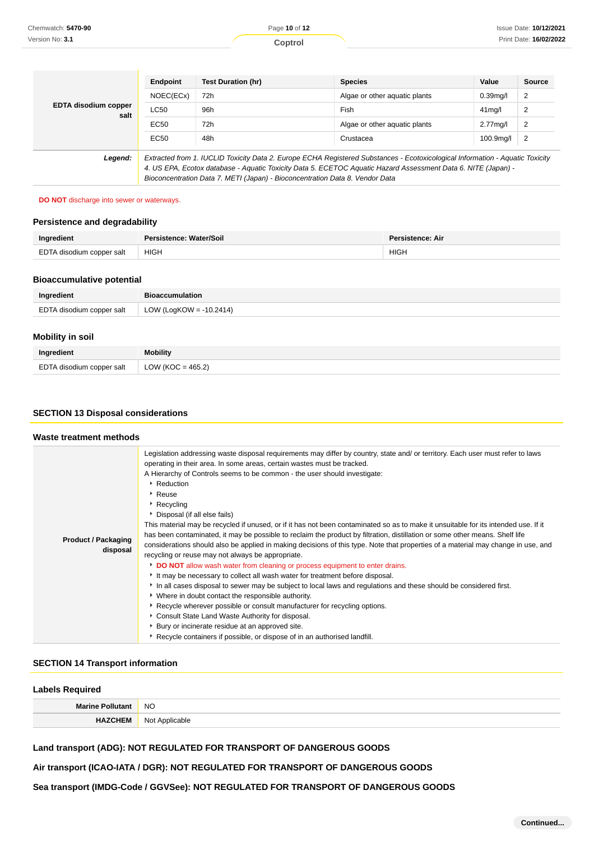| EDTA disodium copper<br>salt | Endpoint                                                                                                                                                                                                                                                                                                                       | <b>Test Duration (hr)</b> | <b>Species</b>                | Value       | <b>Source</b>  |
|------------------------------|--------------------------------------------------------------------------------------------------------------------------------------------------------------------------------------------------------------------------------------------------------------------------------------------------------------------------------|---------------------------|-------------------------------|-------------|----------------|
|                              | NOEC(ECx)                                                                                                                                                                                                                                                                                                                      | 72h                       | Algae or other aguatic plants | $0.39$ mg/l | $\overline{2}$ |
|                              | LC50                                                                                                                                                                                                                                                                                                                           | 96h                       | Fish                          | $41$ mg/l   | $\overline{2}$ |
|                              | EC50                                                                                                                                                                                                                                                                                                                           | 72h                       | Algae or other aguatic plants | $2.77$ mg/l | $\overline{2}$ |
|                              | EC <sub>50</sub>                                                                                                                                                                                                                                                                                                               | 48h                       | Crustacea                     | 100.9mg/l   | $\overline{2}$ |
| Legend:                      | Extracted from 1. IUCLID Toxicity Data 2. Europe ECHA Registered Substances - Ecotoxicological Information - Aquatic Toxicity<br>4. US EPA, Ecotox database - Aquatic Toxicity Data 5. ECETOC Aquatic Hazard Assessment Data 6. NITE (Japan) -<br>Bioconcentration Data 7. METI (Japan) - Bioconcentration Data 8. Vendor Data |                           |                               |             |                |

#### **DO NOT** discharge into sewer or waterways.

## **Persistence and degradability**

| Ingredient                | Persistence: Water/Soil | Persistence: Air |
|---------------------------|-------------------------|------------------|
| EDTA disodium copper salt | <b>HIGH</b>             | <b>HIGH</b>      |

#### **Bioaccumulative potential**

| Ingredient                | <b>Bioaccumulation</b>          |
|---------------------------|---------------------------------|
| EDTA disodium copper salt | $\vert$ LOW (LogKOW = -10.2414) |

#### **Mobility in soil**

| Ingredient                | <b>Mobility</b>      |
|---------------------------|----------------------|
| EDTA disodium copper salt | LOW (KOC = $465.2$ ) |

#### **SECTION 13 Disposal considerations**

#### **Waste treatment methods Product / Packaging disposal** Legislation addressing waste disposal requirements may differ by country, state and/ or territory. Each user must refer to laws operating in their area. In some areas, certain wastes must be tracked. A Hierarchy of Controls seems to be common - the user should investigate: Reduction ▶ Reuse Recycling Disposal (if all else fails) This material may be recycled if unused, or if it has not been contaminated so as to make it unsuitable for its intended use. If it has been contaminated, it may be possible to reclaim the product by filtration, distillation or some other means. Shelf life considerations should also be applied in making decisions of this type. Note that properties of a material may change in use, and recycling or reuse may not always be appropriate. **DO NOT** allow wash water from cleaning or process equipment to enter drains. It may be necessary to collect all wash water for treatment before disposal. In all cases disposal to sewer may be subject to local laws and regulations and these should be considered first. Where in doubt contact the responsible authority. Recycle wherever possible or consult manufacturer for recycling options. Consult State Land Waste Authority for disposal. **Bury or incinerate residue at an approved site.** Recycle containers if possible, or dispose of in an authorised landfill.

## **SECTION 14 Transport information**

#### **Labels Required**

| <b>Marine</b>            | <b>NO</b>         |
|--------------------------|-------------------|
| ⇒ ¤ollum                 |                   |
| LI A<br><b>HEM</b><br>пм | Not<br>Applicable |

## **Land transport (ADG): NOT REGULATED FOR TRANSPORT OF DANGEROUS GOODS**

**Air transport (ICAO-IATA / DGR): NOT REGULATED FOR TRANSPORT OF DANGEROUS GOODS**

#### **Sea transport (IMDG-Code / GGVSee): NOT REGULATED FOR TRANSPORT OF DANGEROUS GOODS**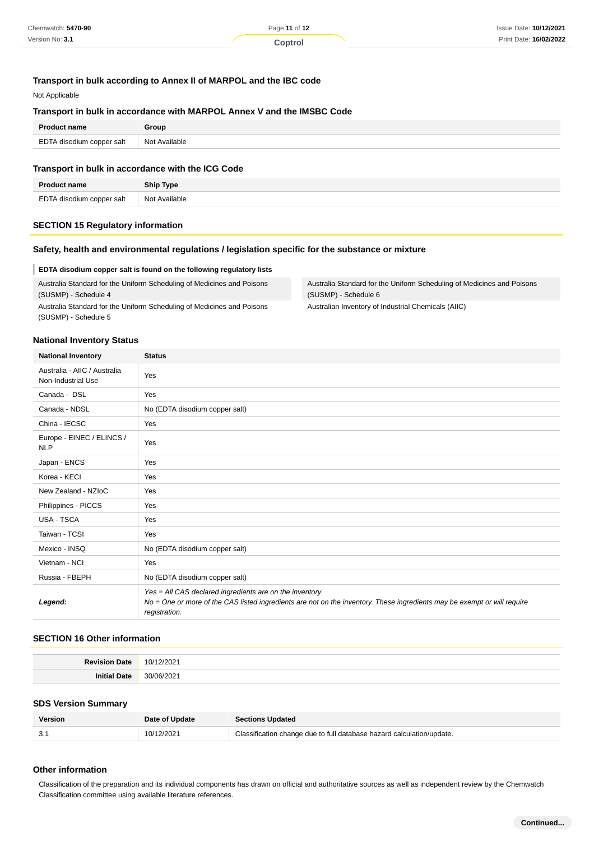#### **Transport in bulk according to Annex II of MARPOL and the IBC code**

#### Not Applicable

#### **Transport in bulk in accordance with MARPOL Annex V and the IMSBC Code**

| <b>Product name</b>       | Group         |
|---------------------------|---------------|
| EDTA disodium copper salt | Not Available |

## **Transport in bulk in accordance with the ICG Code**

| Dr.                       | <b>Ship Type</b> |
|---------------------------|------------------|
| EDTA disodium copper salt | Not Available    |

#### **SECTION 15 Regulatory information**

#### **Safety, health and environmental regulations / legislation specific for the substance or mixture**

#### **EDTA disodium copper salt is found on the following regulatory lists**

Australia Standard for the Uniform Scheduling of Medicines and Poisons (SUSMP) - Schedule 4

Australia Standard for the Uniform Scheduling of Medicines and Poisons (SUSMP) - Schedule 5

Australia Standard for the Uniform Scheduling of Medicines and Poisons (SUSMP) - Schedule 6

Australian Inventory of Industrial Chemicals (AIIC)

# **National Inventory Status**

| <b>National Inventory</b>                          | <b>Status</b>                                                                                                                                                                                        |  |
|----------------------------------------------------|------------------------------------------------------------------------------------------------------------------------------------------------------------------------------------------------------|--|
| Australia - AIIC / Australia<br>Non-Industrial Use | Yes                                                                                                                                                                                                  |  |
| Canada - DSL                                       | Yes                                                                                                                                                                                                  |  |
| Canada - NDSL                                      | No (EDTA disodium copper salt)                                                                                                                                                                       |  |
| China - IECSC                                      | Yes                                                                                                                                                                                                  |  |
| Europe - EINEC / ELINCS /<br><b>NLP</b>            | Yes                                                                                                                                                                                                  |  |
| Japan - ENCS                                       | Yes                                                                                                                                                                                                  |  |
| Korea - KECI                                       | Yes                                                                                                                                                                                                  |  |
| New Zealand - NZIoC                                | Yes                                                                                                                                                                                                  |  |
| Philippines - PICCS                                | Yes                                                                                                                                                                                                  |  |
| <b>USA - TSCA</b>                                  | Yes                                                                                                                                                                                                  |  |
| Taiwan - TCSI                                      | Yes                                                                                                                                                                                                  |  |
| Mexico - INSQ                                      | No (EDTA disodium copper salt)                                                                                                                                                                       |  |
| Vietnam - NCI                                      | Yes                                                                                                                                                                                                  |  |
| Russia - FBEPH                                     | No (EDTA disodium copper salt)                                                                                                                                                                       |  |
| Legend:                                            | Yes = All CAS declared ingredients are on the inventory<br>No = One or more of the CAS listed ingredients are not on the inventory. These ingredients may be exempt or will require<br>registration. |  |

#### **SECTION 16 Other information**

| <b>Revision Date</b><br>$\sim$ | /202'<br>10/1 |
|--------------------------------|---------------|
| Initial Date                   | 30/06         |
| ац                             | 1000          |
|                                | .             |

## **SDS Version Summary**

| <b>Version</b> | Date of Update | <b>Sections Updated</b>                                               |
|----------------|----------------|-----------------------------------------------------------------------|
|                | 10/12/2021     | Classification change due to full database hazard calculation/update. |

#### **Other information**

Classification of the preparation and its individual components has drawn on official and authoritative sources as well as independent review by the Chemwatch Classification committee using available literature references.